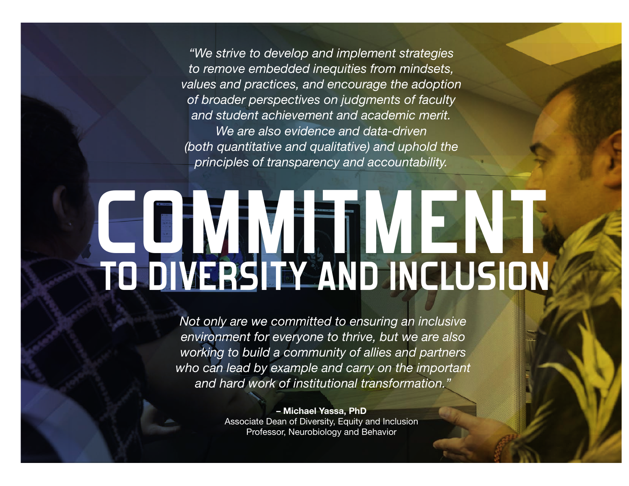*"We strive to develop and implement strategies to remove embedded inequities from mindsets, values and practices, and encourage the adoption of broader perspectives on judgments of faculty and student achievement and academic merit. We are also evidence and data-driven (both quantitative and qualitative) and uphold the principles of transparency and accountability.*

## COMMITMENT  **TO DIVERSITY AND INCLUSION**

*Not only are we committed to ensuring an inclusive environment for everyone to thrive, but we are also working to build a community of allies and partners who can lead by example and carry on the important and hard work of institutional transformation."* 

> – Michael Yassa, PhD Associate Dean of Diversity, Equity and Inclusion Professor, Neurobiology and Behavior